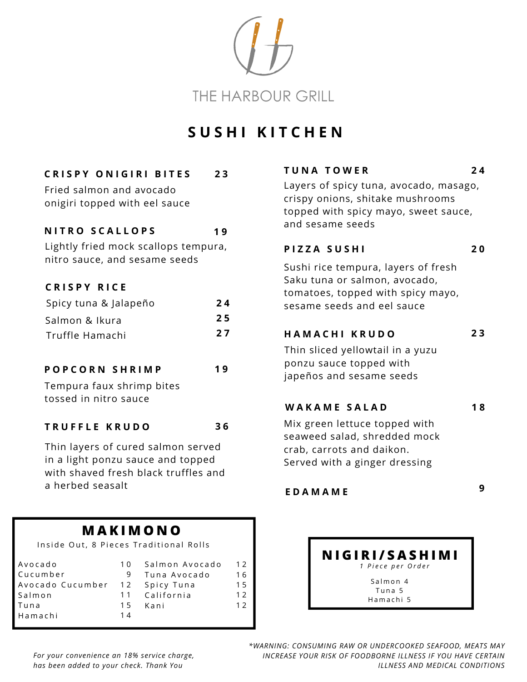

# **S U S H I K I T C H E N**

### **C R I S P Y O N I G I R I B I T E S 2 3**

Fried salmon and avocado onigiri topped with eel sauce

#### **N I T R O S C A L L O P S 1 9**

Lightly fried mock scallops tempura, nitro sauce, and sesame seeds

### **C R I S P Y R I C E**

| Spicy tuna & Jalapeño | 24 |
|-----------------------|----|
| Salmon & Ikura        | 25 |
| Truffle Hamachi       | 27 |

#### **P O P C O R N S H R I M P 1 9**

Tempura faux shrimp bites tossed in nitro sauce

#### **T R U F F L E K R U D O 3 6**

Thin layers of cured salmon served in a light ponzu sauce and topped with shaved fresh black truffles and a herbed seasalt

## **M A K I M O N O**

Inside Out, 8 Pieces Traditional Rolls

| Avocado<br>Cucumber | 1 O<br>9 | Salmon Avocado<br>Tuna Avocado | 12<br>16 |
|---------------------|----------|--------------------------------|----------|
| Avocado Cucumber    | 12       | Spicy Tuna                     | 15       |
| Salmon              |          | 11 California                  | 12       |
| Tuna                | 15       | Kani                           | 12       |
| Hamachi             | 14       |                                |          |

### **T U N A T O W E R 2 4**

Layers of spicy tuna, avocado, masago, crispy onions, shitake mushrooms topped with spicy mayo, sweet sauce, and sesame seeds

### **P I Z Z A S U S H I 2 0**

Sushi rice tempura, layers of fresh Saku tuna or salmon, avocado, tomatoes, topped with spicy mayo, sesame seeds and eel sauce

### **H A M A C H I K R U D O 2 3**

Thin sliced yellowtail in a yuzu ponzu sauce topped with japeños and sesame seeds

### **W A K A M E S A L A D 1 8**

Mix green lettuce topped with seaweed salad, shredded mock crab, carrots and daikon. Served with a ginger dressing

## **9 E D A M A M E**

#### **N I G I R I / S A S H I M I** *1 P i e c e p e r O r d e r* Salmon 4

Tuna 5 Hamachi 5

*For your convenience an 18% service charge, has been added to your check. Thank You*

*\*WARNING: CONSUMING RAW OR UNDERCOOKED SEAFOOD, MEATS MAY INCREASE YOUR RISK OF FOODBORNE ILLNESS IF YOU HAVE CERTAIN ILLNESS AND MEDICAL CONDITIONS*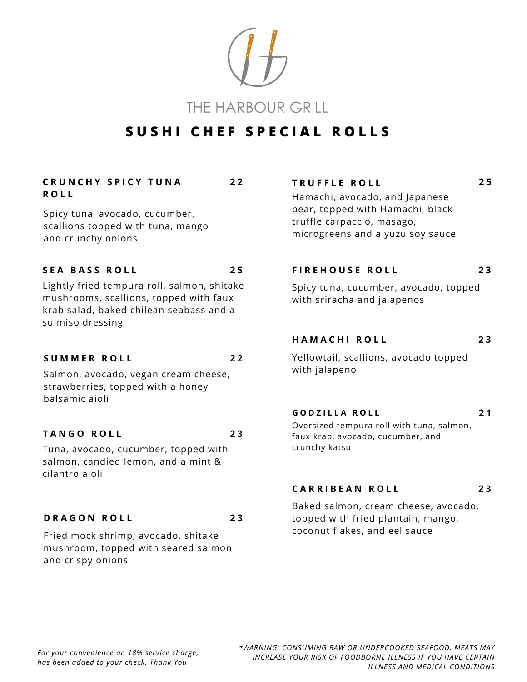THE HARBOUR GRILL

# **S U S H I C H E F S P E C I A L R O L L S**

**2 2**

#### **C R U N C H Y S P I C Y T U N A R O L L**

Spicy tuna, avocado, cucumber, scallions topped with tuna, mango and crunchy onions

#### **S E A B A S S R O L L 2 5**

Lightly fried tempura roll, salmon, shitake mushrooms, scallions, topped with faux krab salad, baked chilean seabass and a su miso dressing

#### **S U M M E R R O L L 2 2**

**2 3**

Salmon, avocado, vegan cream cheese, strawberries, topped with a honey balsamic aioli

#### **T A N G O R O L L 2 3**

Tuna, avocado, cucumber, topped with salmon, candied lemon, and a mint & cilantro aioli

#### **D R A G O N R O L L**

Fried mock shrimp, avocado, shitake mushroom, topped with seared salmon and crispy onions

#### **T R U F F L E R O L L**

Hamachi, avocado, and Japanese pear, topped with Hamachi, black truffle carpaccio, masago, microgreens and a yuzu soy sauce

#### **F I R E H O U S E R O L L 2 3**

**2 5**

**2 1**

Spicy tuna, cucumber, avocado, topped with sriracha and jalapenos

#### **H A M A C H I R O L L 2 3**

Yellowtail, scallions, avocado topped with jalapeno

#### **G O D Z I L L A R O L L**

Oversized tempura roll with tuna, salmon, faux krab, avocado, cucumber, and crunchy katsu

#### **C A R R I B E A N R O L L 2 3**

Baked salmon, cream cheese, avocado, topped with fried plantain, mango, coconut flakes, and eel sauce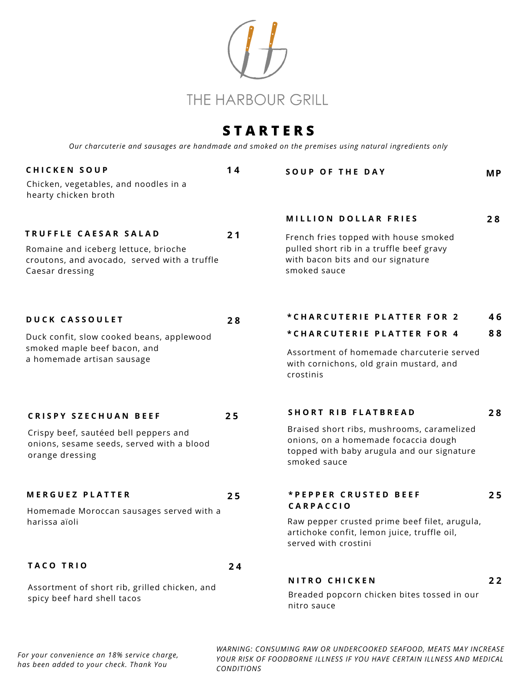

# **S T A R T E R S**

*Our charcuterie and sausages are handmade and smoked on the premises using natural ingredients only*

| <b>CHICKEN SOUP</b>                                                                                     | 14 | <b>SOUP OF THE DAY</b>                                                                                                                           | <b>MP</b> |  |  |
|---------------------------------------------------------------------------------------------------------|----|--------------------------------------------------------------------------------------------------------------------------------------------------|-----------|--|--|
| Chicken, vegetables, and noodles in a<br>hearty chicken broth                                           |    |                                                                                                                                                  |           |  |  |
|                                                                                                         |    | <b>MILLION DOLLAR FRIES</b>                                                                                                                      | 28        |  |  |
| TRUFFLE CAESAR SALAD                                                                                    | 21 | French fries topped with house smoked                                                                                                            |           |  |  |
| Romaine and iceberg lettuce, brioche<br>croutons, and avocado, served with a truffle<br>Caesar dressing |    | pulled short rib in a truffle beef gravy<br>with bacon bits and our signature<br>smoked sauce                                                    |           |  |  |
| <b>DUCK CASSOULET</b>                                                                                   | 28 | *CHARCUTERIE PLATTER FOR 2                                                                                                                       | 46        |  |  |
| Duck confit, slow cooked beans, applewood                                                               |    | *CHARCUTERIE PLATTER FOR 4                                                                                                                       | 88        |  |  |
| smoked maple beef bacon, and<br>a homemade artisan sausage                                              |    | Assortment of homemade charcuterie served<br>with cornichons, old grain mustard, and<br>crostinis                                                |           |  |  |
| <b>CRISPY SZECHUAN BEEF</b>                                                                             | 25 | <b>SHORT RIB FLATBREAD</b>                                                                                                                       | 28        |  |  |
| Crispy beef, sautéed bell peppers and<br>onions, sesame seeds, served with a blood<br>orange dressing   |    | Braised short ribs, mushrooms, caramelized<br>onions, on a homemade focaccia dough<br>topped with baby arugula and our signature<br>smoked sauce |           |  |  |
| <b>MERGUEZ PLATTER</b>                                                                                  | 25 | *PEPPER CRUSTED BEEF                                                                                                                             | 25        |  |  |
| Homemade Moroccan sausages served with a                                                                |    | <b>CARPACCIO</b>                                                                                                                                 |           |  |  |
| harissa aïoli                                                                                           |    | Raw pepper crusted prime beef filet, arugula,<br>artichoke confit, lemon juice, truffle oil,<br>served with crostini                             |           |  |  |
| <b>TACO TRIO</b>                                                                                        | 24 |                                                                                                                                                  |           |  |  |
| Assortment of short rib, grilled chicken, and<br>spicy beef hard shell tacos                            |    | <b>NITRO CHICKEN</b><br>Breaded popcorn chicken bites tossed in our<br>nitro sauce                                                               | 22        |  |  |
|                                                                                                         |    |                                                                                                                                                  |           |  |  |

*WARNING: CONSUMING RAW OR UNDERCOOKED SEAFOOD, MEATS MAY INCREASE YOUR RISK OF FOODBORNE ILLNESS IF YOU HAVE CERTAIN ILLNESS AND MEDICAL CONDITIONS*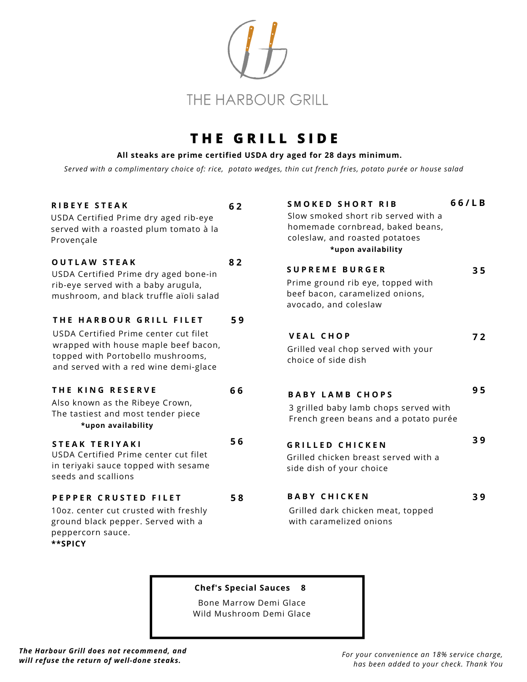

# **T H E G R I L L S I D E**

#### **All steaks are prime certified USDA dry aged for 28 days minimum.**

Served with a complimentary choice of: rice, potato wedges, thin cut french fries, potato purée or house salad

| <b>RIBEYE STEAK</b><br>USDA Certified Prime dry aged rib-eye<br>served with a roasted plum tomato à la<br>Provençale                                                                   | 62 | <b>SMOKED SHORT RIB</b><br>Slow smoked short rib served with a<br>homemade cornbread, baked beans,<br>coleslaw, and roasted potatoes<br>*upon availability | 66/LB          |
|----------------------------------------------------------------------------------------------------------------------------------------------------------------------------------------|----|------------------------------------------------------------------------------------------------------------------------------------------------------------|----------------|
| <b>OUTLAW STEAK</b><br>USDA Certified Prime dry aged bone-in<br>rib-eye served with a baby arugula,<br>mushroom, and black truffle aïoli salad                                         | 82 | <b>SUPREME BURGER</b><br>Prime ground rib eye, topped with<br>beef bacon, caramelized onions,<br>avocado, and coleslaw                                     | 3 <sub>5</sub> |
| THE HARBOUR GRILL FILET<br>USDA Certified Prime center cut filet<br>wrapped with house maple beef bacon,<br>topped with Portobello mushrooms,<br>and served with a red wine demi-glace | 59 | <b>VEAL CHOP</b><br>Grilled veal chop served with your<br>choice of side dish                                                                              | 72             |
| THE KING RESERVE<br>Also known as the Ribeye Crown,<br>The tastiest and most tender piece<br>*upon availability                                                                        | 66 | <b>BABY LAMB CHOPS</b><br>3 grilled baby lamb chops served with<br>French green beans and a potato purée                                                   | 95             |
| STEAK TERIYAKI<br>USDA Certified Prime center cut filet<br>in teriyaki sauce topped with sesame<br>seeds and scallions                                                                 | 56 | <b>GRILLED CHICKEN</b><br>Grilled chicken breast served with a<br>side dish of your choice                                                                 | 39             |
| PEPPER CRUSTED FILET<br>10oz. center cut crusted with freshly<br>ground black pepper. Served with a<br>peppercorn sauce.<br>**SPICY                                                    | 58 | <b>BABY CHICKEN</b><br>Grilled dark chicken meat, topped<br>with caramelized onions                                                                        | 39             |

#### **Chef's Special Sauces 8**

Bone Marrow Demi Glace Wild Mushroom Demi Glace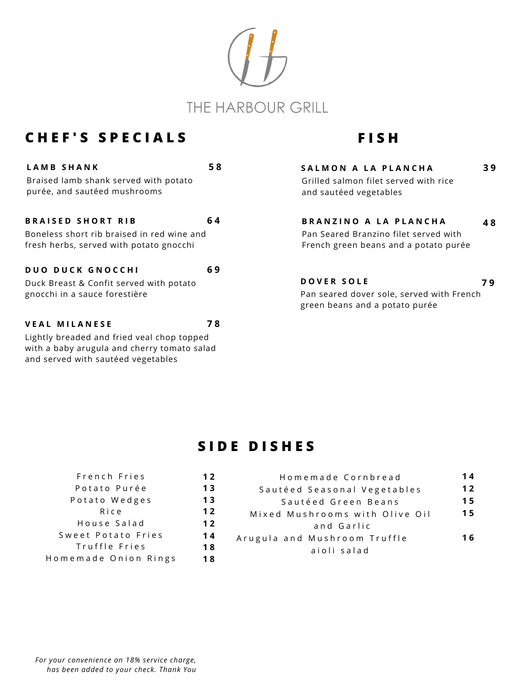

# **C H E F ' S S P E C I A L S**

and served with sautéed vegetables

| LAMB SHANK                                                                            | 58 |
|---------------------------------------------------------------------------------------|----|
| Braised lamb shank served with potato<br>purée, and sautéed mushrooms                 |    |
| <b>BRAISED SHORT RIB</b>                                                              | 64 |
| Boneless short rib braised in red wine and<br>fresh herbs, served with potato gnocchi |    |
| <b>DUO DUCK GNOCCHI</b>                                                               | 69 |
| Duck Breast & Confit served with potato                                               |    |
| gnocchi in a sauce forestière                                                         |    |
| <b>VEAL MILANESE</b>                                                                  | 78 |
| Lightly breaded and fried veal chop topped                                            |    |
| with a baby arugula and cherry tomato salad                                           |    |

# **F I S H**

| SALMON A LA PLANCHA                   |    |
|---------------------------------------|----|
| Grilled salmon filet served with rice |    |
| and sautéed vegetables                |    |
|                                       |    |
| BRANZINO A LA PLANCHA                 | 48 |
|                                       |    |
| Pan Seared Branzino filet served with |    |
| French green beans and a potato purée |    |

**D O V E R S O L E 7 9** Pan seared dover sole, served with French green beans and a potato purée

## **S I D E D I S H E S**

| French Fries         | 12  |
|----------------------|-----|
| Potato Purée         | 13  |
| Potato Wedges        | 13  |
| Rice                 | 12  |
| House Salad          | 12  |
| Sweet Potato Fries   | 14  |
| Truffle Fries        | 18  |
| Homemade Onion Rings | 1 8 |

| Homemade Cornbread             | 14  |
|--------------------------------|-----|
| Sautéed Seasonal Vegetables    | 12  |
| Sautéed Green Beans            | 15  |
| Mixed Mushrooms with Olive Oil | 15  |
| and Garlic                     |     |
| Arugula and Mushroom Truffle   | 16. |
| aioli salad                    |     |
|                                |     |